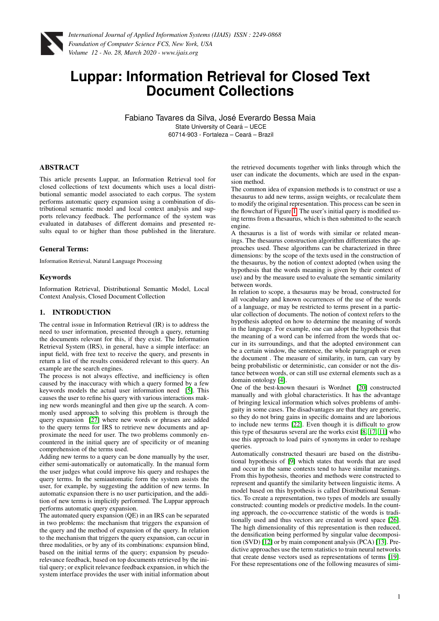

# **Luppar: Information Retrieval for Closed Text Document Collections**

Fabiano Tavares da Silva, José Everardo Bessa Maia State University of Ceará - UECE 60714-903 - Fortaleza – Ceara – Brazil ´

# ABSTRACT

This article presents Luppar, an Information Retrieval tool for closed collections of text documents which uses a local distributional semantic model associated to each corpus. The system performs automatic query expansion using a combination of distributional semantic model and local context analysis and supports relevancy feedback. The performance of the system was evaluated in databases of different domains and presented results equal to or higher than those published in the literature.

#### General Terms:

Information Retrieval, Natural Language Processing

#### Keywords

Information Retrieval, Distributional Semantic Model, Local Context Analysis, Closed Document Collection

# 1. INTRODUCTION

The central issue in Information Retrieval (IR) is to address the need to user information, presented through a query, returning the documents relevant for this, if they exist. The Information Retrieval System (IRS), in general, have a simple interface: an input field, with free text to receive the query, and presents in return a list of the results considered relevant to this query. An example are the search engines.

The process is not always effective, and inefficiency is often caused by the inaccuracy with which a query formed by a few keywords models the actual user information need [\[5\]](#page-4-0). This causes the user to refine his query with various interactions making new words meaningful and then give up the search. A commonly used approach to solving this problem is through the query expansion [\[27\]](#page-5-0) where new words or phrases are added to the query terms for IRS to retrieve new documents and approximate the need for user. The two problems commonly encountered in the initial query are of specificity or of meaning comprehension of the terms used.

Adding new terms to a query can be done manually by the user, either semi-automatically or automatically. In the manual form the user judges what could improve his query and reshapes the query terms. In the semiautomatic form the system assists the user, for example, by suggesting the addition of new terms. In automatic expansion there is no user participation, and the addition of new terms is implicitly performed. The Luppar approach performs automatic query expansion.

The automated query expansion (QE) in an IRS can be separated in two problems: the mechanism that triggers the expansion of the query and the method of expansion of the query. In relation to the mechanism that triggers the query expansion, can occur in three modalities, or by any of its combinations: expansion blind, based on the initial terms of the query; expansion by pseudorelevance feedback, based on top documents retrieved by the initial query; or explicit relevance feedback expansion, in which the system interface provides the user with initial information about the retrieved documents together with links through which the user can indicate the documents, which are used in the expansion method.

The common idea of expansion methods is to construct or use a thesaurus to add new terms, assign weights, or recalculate them to modify the original representation. This process can be seen in the flowchart of Figure [1.](#page-1-0) The user's initial query is modified using terms from a thesaurus, which is then submitted to the search engine.

A thesaurus is a list of words with similar or related meanings. The thesaurus construction algorithm differentiates the approaches used. These algorithms can be characterized in three dimensions: by the scope of the texts used in the construction of the thesaurus, by the notion of context adopted (when using the hypothesis that the words meaning is given by their context of use) and by the measure used to evaluate the semantic similarity between words.

In relation to scope, a thesaurus may be broad, constructed for all vocabulary and known occurrences of the use of the words of a language, or may be restricted to terms present in a particular collection of documents. The notion of context refers to the hypothesis adopted on how to determine the meaning of words in the language. For example, one can adopt the hypothesis that the meaning of a word can be inferred from the words that occur in its surroundings, and that the adopted environment can be a certain window, the sentence, the whole paragraph or even the document . The measure of similarity, in turn, can vary by being probabilistic or deterministic, can consider or not the distance between words, or can still use external elements such as a domain ontology [\[4\]](#page-4-1).

One of the best-known thesauri is Wordnet [\[20\]](#page-5-1) constructed manually and with global characteristics. It has the advantage of bringing lexical information which solves problems of ambiguity in some cases. The disadvantages are that they are generic, so they do not bring gains in specific domains and are laborious to include new terms [\[22\]](#page-5-2). Even though it is difficult to grow this type of thesaurus several are the works exist [\[8,](#page-4-2) [17,](#page-5-3) [11\]](#page-5-4) who use this approach to load pairs of synonyms in order to reshape queries.

Automatically constructed thesauri are based on the distributional hypothesis of [\[9\]](#page-4-3) which states that words that are used and occur in the same contexts tend to have similar meanings. From this hypothesis, theories and methods were constructed to represent and quantify the similarity between linguistic items. A model based on this hypothesis is called Distributional Semantics. To create a representation, two types of models are usually constructed: counting models or predictive models. In the counting approach, the co-occurrence statistic of the words is traditionally used and thus vectors are created in word space [\[26\]](#page-5-5). The high dimensionality of this representation is then reduced, the densification being performed by singular value decomposition (SVD) [\[12\]](#page-5-6) or by main component analysis (PCA) [\[13\]](#page-5-7). Predictive approaches use the term statistics to train neural networks that create dense vectors used as representations of terms [\[19\]](#page-5-8). For these representations one of the following measures of simi-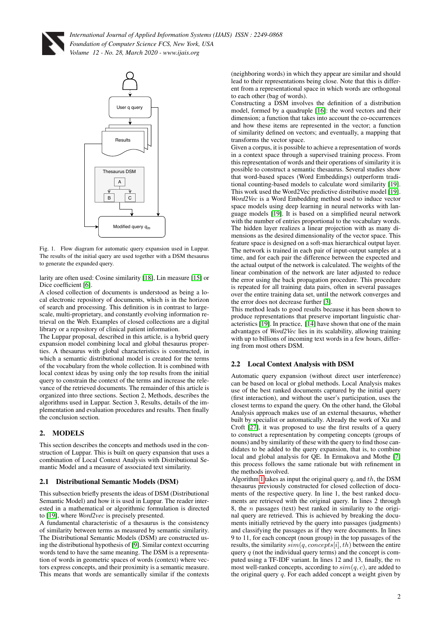



Fig. 1. Flow diagram for automatic query expansion used in Luppar. The results of the initial query are used together with a DSM thesaurus to generate the expanded query.

larity are often used: Cosine similarity [\[18\]](#page-5-9), Lin measure [\[15\]](#page-5-10) or Dice coefficient [\[6\]](#page-4-4).

A closed collection of documents is understood as being a local electronic repository of documents, which is in the horizon of search and processing. This definition is in contrast to largescale, multi-proprietary, and constantly evolving information retrieval on the Web. Examples of closed collections are a digital library or a repository of clinical patient information.

The Luppar proposal, described in this article, is a hybrid query expansion model combining local and global thesaurus properties. A thesaurus with global characteristics is constructed, in which a semantic distributional model is created for the terms of the vocabulary from the whole collection. It is combined with local context ideas by using only the top results from the initial query to constrain the context of the terms and increase the relevance of the retrieved documents. The remainder of this article is organized into three sections. Section 2, Methods, describes the algorithms used in Luppar. Section 3, Results, details of the implementation and evaluation procedures and results. Then finally the conclusion section.

# 2. MODELS

This section describes the concepts and methods used in the construction of Luppar. This is built on query expansion that uses a combination of Local Context Analysis with Distributional Semantic Model and a measure of associated text similarity.

# 2.1 Distributional Semantic Models (DSM)

This subsection briefly presents the ideas of DSM (Distributional Semantic Model) and how it is used in Luppar. The reader interested in a mathematical or algorithmic formulation is directed to [\[19\]](#page-5-8), where *Word2vec* is precisely presented.

A fundamental characteristic of a thesaurus is the consistency of similarity between terms as measured by semantic similarity. The Distributional Semantic Models (DSM) are constructed using the distributional hypothesis of [\[9\]](#page-4-3). Similar context occurring words tend to have the same meaning. The DSM is a representation of words in geometric spaces of words (context) where vectors express concepts, and their proximity is a semantic measure. This means that words are semantically similar if the contexts (neighboring words) in which they appear are similar and should lead to their representations being close. Note that this is different from a representational space in which words are orthogonal to each other (bag of words).

Constructing a DSM involves the definition of a distribution model, formed by a quadruple [\[16\]](#page-5-11): the word vectors and their dimension; a function that takes into account the co-occurrences and how these items are represented in the vector; a function of similarity defined on vectors; and eventually, a mapping that transforms the vector space.

Given a corpus, it is possible to achieve a representation of words in a context space through a supervised training process. From this representation of words and their operations of similarity it is possible to construct a semantic thesaurus. Several studies show that word-based spaces (Word Embeddings) outperform traditional counting-based models to calculate word similarity [\[19\]](#page-5-8). This work used the Word2Vec predictive distributive model [\[19\]](#page-5-8). *Word2Vec* is a Word Embedding method used to induce vector space models using deep learning in neural networks with language models [\[19\]](#page-5-8). It is based on a simplified neural network with the number of entries proportional to the vocabulary words. The hidden layer realizes a linear projection with as many dimensions as the desired dimensionality of the vector space. This feature space is designed on a soft-max hierarchical output layer. The network is trained in each pair of input-output samples at a time, and for each pair the difference between the expected and the actual output of the network is calculated. The weights of the linear combination of the network are later adjusted to reduce the error using the back propagation procedure. This procedure is repeated for all training data pairs, often in several passages over the entire training data set, until the network converges and the error does not decrease further [\[3\]](#page-4-5).

<span id="page-1-0"></span>This method leads to good results because it has been shown to produce representations that preserve important linguistic characteristics [\[19\]](#page-5-8). In practice, [\[14\]](#page-5-12) have shown that one of the main advantages of *Word2Vec* lies in its scalability, allowing training with up to billions of incoming text words in a few hours, differing from most others DSM.

# 2.2 Local Context Analysis with DSM

Automatic query expansion (without direct user interference) can be based on local or global methods. Local Analysis makes use of the best ranked documents captured by the initial query (first interaction), and without the user's participation, uses the closest terms to expand the query. On the other hand, the Global Analysis approach makes use of an external thesaurus, whether built by specialist or automatically. Already the work of Xu and Croft [\[27\]](#page-5-0), it was proposed to use the first results of a query to construct a representation by competing concepts (groups of nouns) and by similarity of these with the query to find those candidates to be added to the query expansion, that is, to combine local and global analysis for QE. In Ermakova and Mothe [\[7\]](#page-4-6) this process follows the same rationale but with refinement in the methods involved.

Algorithm [1](#page-2-0) takes as input the original query  $q$ , and  $th$ , the DSM thesaurus previously constructed for closed collection of documents of the respective query. In line 1, the best ranked documents are retrieved with the original query. In lines 2 through 8, the  $n$  passages (text) best ranked in similarity to the original query are retrieved. This is achieved by breaking the documents initially retrieved by the query into passages (judgments) and classifying the passages as if they were documents. In lines 9 to 11, for each concept (noun group) in the top passages of the results, the similarity  $sim(q, concepts[i], th)$  between the entire query  $q$  (not the individual query terms) and the concept is computed using a TF-IDF variant. In lines 12 and 13, finally, the m most well-ranked concepts, according to  $sim(q, c)$ , are added to the original query  $q$ . For each added concept a weight given by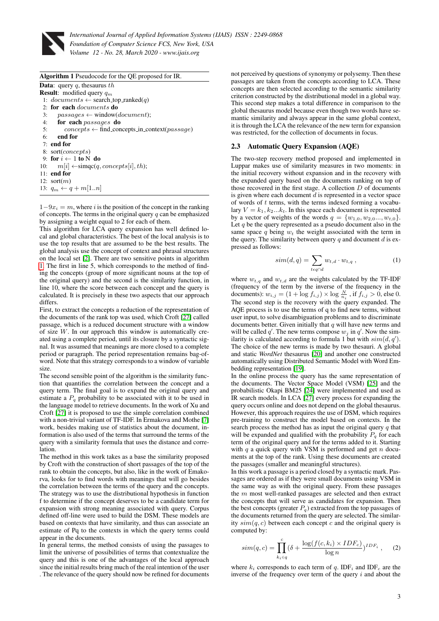

<span id="page-2-0"></span>

| Algorithm 1 Pseudocode for the QE proposed for IR.              |
|-----------------------------------------------------------------|
| <b>Data:</b> query q, thesaurus the                             |
| <b>Result:</b> modified query $q_m$                             |
| 1: $documents \leftarrow search\_top\_ranked(q)$                |
| 2: for each <i>documents</i> do                                 |
| $passes \leftarrow window(document);$<br>3:                     |
| 4: for each passages do                                         |
| 5:<br>$concepts \leftarrow find\_concepts_in\_context(passage)$ |
| end for<br>6:                                                   |
| $7:$ end for                                                    |
| 8: sort( <i>concepts</i> )                                      |
| 9: for $i \leftarrow 1$ to N do                                 |
| $m[i] \leftarrow \text{simple}(q, concepts[i], th);$<br>10:     |
| $11:$ end for                                                   |
| 12: $sort(m)$                                                   |
| 13: $q_m \leftarrow q + m[1n]$                                  |

 $1-9x_i = m$ , where i is the position of the concept in the ranking of concepts. The terms in the original query  $q$  can be emphasized by assigning a weight equal to 2 for each of them.

This algorithm for LCA query expansion has well defined local and global characteristics. The best of the local analysis is to use the top results that are assumed to be the best results. The global analysis use the concept of context and phrasal structures on the local set [\[2\]](#page-4-7). There are two sensitive points in algorithm [1.](#page-2-0) The first in line 5, which corresponds to the method of finding the concepts (group of more significant nouns at the top of the original query) and the second is the similarity function, in line 10, where the score between each concept and the query is calculated. It is precisely in these two aspects that our approach differs.

First, to extract the concepts a reduction of the representation of the documents of the rank top was used, which Croft [\[27\]](#page-5-0) called passage, which is a reduced document structure with a window of size  $W$ . In our approach this window is automatically created using a complete period, until its closure by a syntactic signal. It was assumed that meanings are more closed to a complete period or paragraph. The period representation remains bag-ofword. Note that this strategy corresponds to a window of variable size.

The second sensible point of the algorithm is the similarity function that quantifies the correlation between the concept and a query term. The final goal is to expand the original query and estimate a  $P_q$  probability to be associated with it to be used in the language model to retrieve documents. In the work of Xu and Croft [\[27\]](#page-5-0) it is proposed to use the simple correlation combined with a non-trivial variant of TF-IDF. In Ermakova and Mothe [\[7\]](#page-4-6) work, besides making use of statistics about the document, information is also used of the terms that surround the terms of the query with a similarity formula that uses the distance and correlation.

The method in this work takes as a base the similarity proposed by Croft with the construction of short passages of the top of the rank to obtain the concepts, but also, like in the work of Emakorva, looks for to find words with meanings that will go besides the correlation between the terms of the query and the concepts. The strategy was to use the distributional hypothesis in function f to determine if the concept deserves to be a candidate term for expansion with strong meaning associated with query. Corpus defined off-line were used to build the DSM. These models are based on contexts that have similarity, and thus can associate an estimate of Pq to the contexts in which the query terms could appear in the documents.

In general terms, the method consists of using the passages to limit the universe of possibilities of terms that contextualize the query and this is one of the advantages of the local approach since the initial results bring much of the real intention of the user . The relevance of the query should now be refined for documents

not perceived by questions of synonymy or polysemy. Then these passages are taken from the concepts according to LCA. These concepts are then selected according to the semantic similarity criterion constructed by the distributional model in a global way. This second step makes a total difference in comparison to the global thesaurus model because even though two words have semantic similarity and always appear in the same global context, it is through the LCA the relevance of the new term for expansion was restricted, for the collection of documents in focus.

#### 2.3 Automatic Query Expansion (AQE)

The two-step recovery method proposed and implemented in Luppar makes use of similarity measures in two moments: in the initial recovery without expansion and in the recovery with the expanded query based on the documents ranking on top of those recovered in the first stage. A collection  $D$  of documents is given where each document  $d$  is represented in a vector space of words of  $t$  terms, with the terms indexed forming a vocabulary  $V = k_1, k_2...k_t$ . In this space each document is represented by a vector of weights of the words  $q = \{w_{1,0}, w_{2,0}..., w_{t,0}\}.$ Let  $q$  be the query represented as a pseudo document also in the same space  $q$  being  $w_t$  the weight associated with the term in the query. The similarity between query  $q$  and document  $d$  is expressed as follows:

$$
sim(d,q) = \sum_{t \in q \cap d} w_{t,d} \cdot w_{t,q} , \qquad (1)
$$

where  $w_{t,q}$  and  $w_{t,d}$  are the weights calculated by the TF-IDF (frequency of the term by the inverse of the frequency in the documents):  $w_{i,j} = (1 + \log f_{i,j}) \times \log \frac{N}{n_i}$ , if  $f_{i,j} > 0$ , else 0. The second step is the recovery with the query expanded. The AQE process is to use the terms of q to find new terms, without user input, to solve disambiguation problems and to discriminate documents better. Given initially that  $q$  will have new terms and will be called q'. The new terms compose  $w_j$  in q'. Now the similarity is calculated according to formula 1 but with  $sim(d, q')$ . The choice of the new terms is made by two thesauri. A global and static *WordNet* thesaurus [\[20\]](#page-5-1) and another one constructed automatically using Distributed Semantic Model with Word Embedding representation [\[19\]](#page-5-8).

In the online process the query has the same representation of the documents. The Vector Space Model (VSM) [\[25\]](#page-5-13) and the probabilistic Okapi BM25 [\[24\]](#page-5-14) were implemented and used as IR search models. In LCA [\[27\]](#page-5-0) every process for expanding the query occurs online and does not depend on the global thesaurus. However, this approach requires the use of DSM, which requires pre-training to construct the model based on contexts. In the search process the method has as input the original query  $q$  that will be expanded and qualified with the probability  $P_q$  for each term of the original query and for the terms added to it. Starting with  $q$  a quick query with VSM is performed and get  $n$  documents at the top of the rank. Using these documents are created the passages (smaller and meaningful structures).

In this work a passage is a period closed by a syntactic mark. Passages are ordered as if they were small documents using VSM in the same way as with the original query. From these passages the  $m$  most well-ranked passages are selected and then extract the concepts that will serve as candidates for expansion. Then the best concepts (greater  $P_q$ ) extracted from the top passages of the documents returned from the query are selected. The similarity  $sim(q, c)$  between each concept c and the original query is computed by:

$$
sim(q,c) = \prod_{k_i \in q}^{c} (\delta + \frac{\log(f(c, k_i) \times IDF_c)}{\log n})^{IDF_i}, \quad (2)
$$

where  $k_i$  corresponds to each term of q. IDF<sub>i</sub> and IDF<sub>c</sub> are the inverse of the frequency over term of the query  $i$  and about the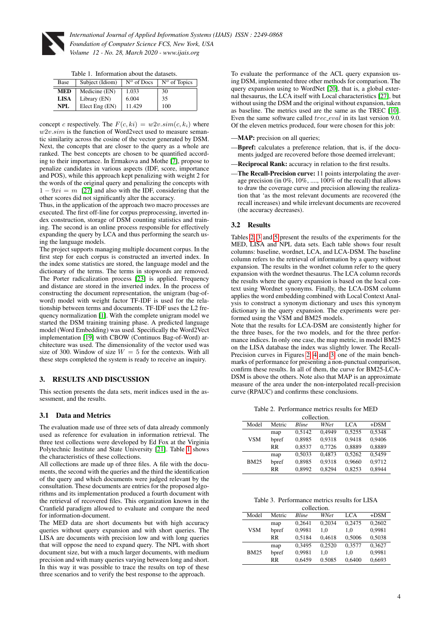

<span id="page-3-0"></span> $\equiv$ 

*International Journal of Applied Information Systems (IJAIS) ISSN : 2249-0868 Foundation of Computer Science FCS, New York, USA Volume 12 - No. 28, March 2020 - www.ijais.org*

Table 1. Information about the datasets.

| Base        | Subject (Idiom) |        | $N^{\circ}$ of Docs $\mid N^{\circ}$ of Topics |
|-------------|-----------------|--------|------------------------------------------------|
| <b>MED</b>  | Medicine (EN)   | 1.033  | 30                                             |
| <b>LISA</b> | Library (EN)    | 6.004  | 35                                             |
| NPL         | Elect Eng (EN)  | 11.429 | 100                                            |

concept c respectively. The  $F(c, ki) = w2v \cdot sim(c, k<sub>i</sub>)$  where  $w2v,sim$  is the function of Word2vect used to measure semantic similarity across the cosine of the vector generated by DSM. Next, the concepts that are closer to the query as a whole are ranked. The best concepts are chosen to be quantified according to their importance. In Ermakova and Mothe [\[7\]](#page-4-6), propose to penalize candidates in various aspects (IDF, score, importance and POS), while this approach kept penalizing with weight 2 for the words of the original query and penalizing the concepts with  $1 - 9xi = m$  [\[27\]](#page-5-0) and also with the IDF, considering that the other scores did not significantly alter the accuracy.

Thus, in the application of the approach two macro processes are executed. The first off-line for corpus preprocessing, inverted index construction, storage of DSM counting statistics and training. The second is an online process responsible for effectively expanding the query by LCA and thus performing the search using the language models.

The project supports managing multiple document corpus. In the first step for each corpus is constructed an inverted index. In the index some statistics are stored, the language model and the dictionary of the terms. The terms in stopwords are removed. The Porter radicalization process [\[23\]](#page-5-15) is applied. Frequency and distance are stored in the inverted index. In the process of constructing the document representation, the unigram (bag-ofword) model with weight factor TF-IDF is used for the relationship between terms and documents. TF-IDF uses the L2 frequency normalization [\[1\]](#page-4-8). With the complete unigram model we started the DSM training training phase. A predicted language model (Word Embedding) was used. Specifically the Word2Vect implementation [\[19\]](#page-5-8) with CBOW (Continuos Bag-of-Word) architecture was used. The dimensionality of the vector used was size of 300. Window of size  $W = 5$  for the contexts. With all these steps completed the system is ready to receive an inquiry.

# 3. RESULTS AND DISCUSSION

This section presents the data sets, merit indices used in the assessment, and the results.

# 3.1 Data and Metrics

The evaluation made use of three sets of data already commonly used as reference for evaluation in information retrieval. The three test collections were developed by Ed Fox at the Virginia Polytechnic Institute and State University [\[21\]](#page-5-16). Table [1](#page-3-0) shows the characteristics of these collections.

All collections are made up of three files. A file with the documents, the second with the queries and the third the identification of the query and which documents were judged relevant by the consultation. These documents are entries for the proposed algorithms and its implementation produced a fourth document with the retrieval of recovered files. This organization known in the Cranfield paradigm allowed to evaluate and compare the need for information-document.

The MED data are short documents but with high accuracy queries without query expansion and with short queries. The LISA are documents with precision low and with long queries that will oppose the need to expand query. The NPL with short document size, but with a much larger documents, with medium precision and with many queries varying between long and short. In this way it was possible to trace the results on top of these three scenarios and to verify the best response to the approach.

To evaluate the performance of the ACL query expansion using DSM, implemented three other methods for comparison. The query expansion using to WordNet [\[20\]](#page-5-1), that is, a global external thesaurus, the LCA itself with Local characteristics [\[27\]](#page-5-0), but without using the DSM and the original without expansion, taken as baseline. The metrics used are the same as the TREC [\[10\]](#page-4-9). Even the same software called *trec\_eval* in its last version 9.0. Of the eleven metrics produced, four were chosen for this job:

- —MAP: precision on all queries;
- -**Boref:** calculates a preference relation, that is, if the documents judged are recovered before those deemed irrelevant;
- -Reciprocal Rank: accuracy in relation to the first results.
- The Recall-Precision curve: 11 points interpolating the average precision (in 0%, 10%, ...., 100% of the recall) that allows to draw the coverage curve and precision allowing the realization that 'as the most relevant documents are recovered (the recall increases) and while irrelevant documents are recovered (the accuracy decreases).

#### 3.2 Results

Tables [2,](#page-3-1) [3](#page-3-2) and [5](#page-4-10) present the results of the experiments for the MED, LISA and NPL data sets. Each table shows four result columns: baseline, wordnet, LCA, and LCA-DSM. The baseline column refers to the retrieval of information by a query without expansion. The results in the wordnet column refer to the query expansion with the wordnet thesaurus. The LCA column records the results where the query expansion is based on the local context using Wordnet synonyms. Finally, the LCA-DSM column applies the word embedding combined with Local Context Analysis to construct a synonym dictionary and uses this synonym dictionary in the query expansion. The experiments were performed using the VSM and BM25 models.

Note that the results for LCA-DSM are consistently higher for the three bases, for the two models, and for the three performance indices. In only one case, the map metric, in model BM25 on the LISA database the index was slightly lower. The Recall-Precision curves in Figures [2,](#page-4-11) [4](#page-4-12) and [3,](#page-4-13) one of the main benchmarks of performance for presenting a non-punctual comparison, confirm these results. In all of them, the curve for BM25-LCA-DSM is above the others. Note also that MAP is an approximate measure of the area under the non-interpolated recall-precision curve (RPAUC) and confirms these conclusions.

Table 2. Performance metrics results for MED

<span id="page-3-1"></span>

| collection. |           |              |        |        |        |
|-------------|-----------|--------------|--------|--------|--------|
| Model       | Metric    | <b>Bline</b> | WNet   | LCA    | $+DSM$ |
| <b>VSM</b>  | map       | 0.5142       | 0.4949 | 0,5255 | 0,5348 |
|             | bpref     | 0,8985       | 0,9318 | 0.9418 | 0.9406 |
|             | RR        | 0.8537       | 0,7726 | 0,8889 | 0,8889 |
| <b>BM25</b> | map       | 0,5033       | 0.4873 | 0.5262 | 0.5459 |
|             | bpref     | 0,8985       | 0.9318 | 0,9660 | 0.9712 |
|             | <b>RR</b> | 0,8992       | 0,8294 | 0,8253 | 0,8944 |

Table 3. Performance metrics results for LISA

<span id="page-3-2"></span>

| collection. |           |              |        |        |        |
|-------------|-----------|--------------|--------|--------|--------|
| Model       | Metric    | <b>Rline</b> | WNet   | LCA    | $+DSM$ |
| <b>VSM</b>  | map       | 0.2641       | 0.2034 | 0.2475 | 0,2602 |
|             | bpref     | 0.9981       | 1.0    | 1.0    | 0.9981 |
|             | <b>RR</b> | 0.5184       | 0.4618 | 0.5006 | 0,5038 |
| <b>BM25</b> | map       | 0.3495       | 0.2520 | 0,3577 | 0,3627 |
|             | bpref     | 0.9981       | 1.0    | 1.0    | 0.9981 |
|             | RR        | 0.6459       | 0.5085 | 0.6400 | 0,6693 |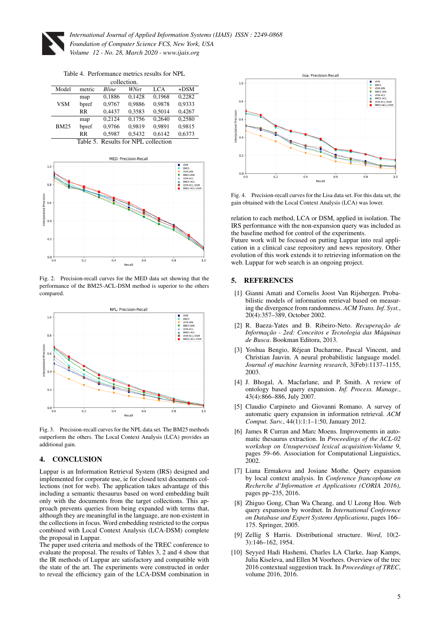

Table 4. Performance metrics results for NPL

| collection.                         |           |              |        |        |        |
|-------------------------------------|-----------|--------------|--------|--------|--------|
| Model                               | metric    | <b>Bline</b> | WNet   | LCA    | $+DSM$ |
| VSM                                 | map       | 0,1886       | 0.1428 | 0.1968 | 0.2282 |
|                                     | bpref     | 0.9767       | 0.9886 | 0.9878 | 0.9333 |
|                                     | <b>RR</b> | 0.4437       | 0,3583 | 0.5014 | 0,4267 |
|                                     | map       | 0.2124       | 0.1756 | 0.2640 | 0.2580 |
| <b>BM25</b>                         | bpref     | 0.9766       | 0.9819 | 0.9891 | 0.9815 |
|                                     | <b>RR</b> | 0.5987       | 0.5432 | 0.6142 | 0,6373 |
| Table 5. Results for NPL collection |           |              |        |        |        |

<span id="page-4-10"></span>

<span id="page-4-11"></span>Fig. 2. Precision-recall curves for the MED data set showing that the performance of the BM25-ACL-DSM method is superior to the others compared.



<span id="page-4-13"></span>Fig. 3. Precision-recall curves for the NPL data set. The BM25 methods outperform the others. The Local Context Analysis (LCA) provides an additional gain.

#### 4. CONCLUSION

Luppar is an Information Retrieval System (IRS) designed and implemented for corporate use, ie for closed text documents collections (not for web). The application takes advantage of this including a semantic thesaurus based on word embedding built only with the documents from the target collections. This approach prevents queries from being expanded with terms that, although they are meaningful in the language, are non-existent in the collections in focus. Word embedding restricted to the corpus combined with Local Context Analysis (LCA-DSM) complete the proposal in Luppar.

The paper used criteria and methods of the TREC conference to evaluate the proposal. The results of Tables 3, 2 and 4 show that the IR methods of Luppar are satisfactory and compatible with the state of the art. The experiments were constructed in order to reveal the efficiency gain of the LCA-DSM combination in



<span id="page-4-12"></span>Fig. 4. Precision-recall curves for the Lisa data set. For this data set, the gain obtained with the Local Context Analysis (LCA) was lower.

relation to each method, LCA or DSM, applied in isolation. The IRS performance with the non-expansion query was included as the baseline method for control of the experiments.

Future work will be focused on putting Luppar into real application in a clinical case repository and news repository. Other evolution of this work extends it to retrieving information on the web. Luppar for web search is an ongoing project.

#### 5. REFERENCES

- <span id="page-4-8"></span>[1] Gianni Amati and Cornelis Joost Van Rijsbergen. Probabilistic models of information retrieval based on measuring the divergence from randomness. *ACM Trans. Inf. Syst.*, 20(4):357–389, October 2002.
- <span id="page-4-7"></span>[2] R. Baeza-Yates and B. Ribeiro-Neto. *Recuperação de Informac¸ao - 2ed: Conceitos e Tecnologia das M ˜ aquinas ´ de Busca*. Bookman Editora, 2013.
- <span id="page-4-5"></span>[3] Yoshua Bengio, Rejean Ducharme, Pascal Vincent, and ´ Christian Jauvin. A neural probabilistic language model. *Journal of machine learning research*, 3(Feb):1137–1155, 2003.
- <span id="page-4-1"></span>[4] J. Bhogal, A. Macfarlane, and P. Smith. A review of ontology based query expansion. *Inf. Process. Manage.*, 43(4):866–886, July 2007.
- <span id="page-4-0"></span>[5] Claudio Carpineto and Giovanni Romano. A survey of automatic query expansion in information retrieval. *ACM Comput. Surv.*, 44(1):1:1–1:50, January 2012.
- <span id="page-4-4"></span>[6] James R Curran and Marc Moens. Improvements in automatic thesaurus extraction. In *Proceedings of the ACL-02 workshop on Unsupervised lexical acquisition-Volume 9*, pages 59–66. Association for Computational Linguistics, 2002.
- <span id="page-4-6"></span>[7] Liana Ermakova and Josiane Mothe. Query expansion by local context analysis. In *Conference francophone en Recherche d'Information et Applications (CORIA 2016)*, pages pp–235, 2016.
- <span id="page-4-2"></span>[8] Zhiguo Gong, Chan Wa Cheang, and U Leong Hou. Web query expansion by wordnet. In *International Conference on Database and Expert Systems Applications*, pages 166– 175. Springer, 2005.
- <span id="page-4-3"></span>[9] Zellig S Harris. Distributional structure. *Word*, 10(2- 3):146–162, 1954.
- <span id="page-4-9"></span>[10] Seyyed Hadi Hashemi, Charles LA Clarke, Jaap Kamps, Julia Kiseleva, and Ellen M Voorhees. Overview of the trec 2016 contextual suggestion track. In *Proceedings of TREC*, volume 2016, 2016.